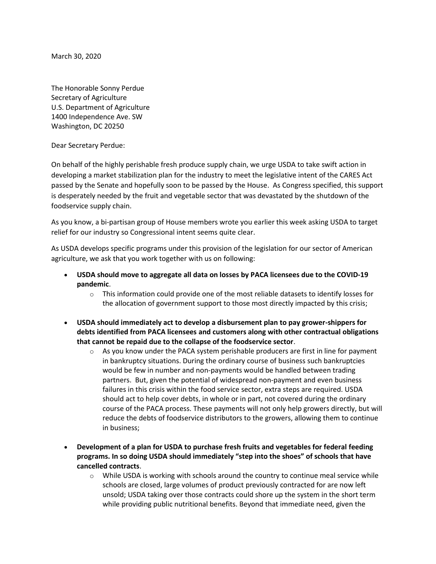March 30, 2020

The Honorable Sonny Perdue Secretary of Agriculture U.S. Department of Agriculture 1400 Independence Ave. SW Washington, DC 20250

Dear Secretary Perdue:

On behalf of the highly perishable fresh produce supply chain, we urge USDA to take swift action in developing a market stabilization plan for the industry to meet the legislative intent of the CARES Act passed by the Senate and hopefully soon to be passed by the House. As Congress specified, this support is desperately needed by the fruit and vegetable sector that was devastated by the shutdown of the foodservice supply chain.

As you know, a bi-partisan group of House members wrote you earlier this week asking USDA to target relief for our industry so Congressional intent seems quite clear.

As USDA develops specific programs under this provision of the legislation for our sector of American agriculture, we ask that you work together with us on following:

- **USDA should move to aggregate all data on losses by PACA licensees due to the COVID-19 pandemic**.
	- $\circ$  This information could provide one of the most reliable datasets to identify losses for the allocation of government support to those most directly impacted by this crisis;
- **USDA should immediately act to develop a disbursement plan to pay grower-shippers for debts identified from PACA licensees and customers along with other contractual obligations that cannot be repaid due to the collapse of the foodservice sector**.
	- $\circ$  As you know under the PACA system perishable producers are first in line for payment in bankruptcy situations. During the ordinary course of business such bankruptcies would be few in number and non-payments would be handled between trading partners. But, given the potential of widespread non-payment and even business failures in this crisis within the food service sector, extra steps are required. USDA should act to help cover debts, in whole or in part, not covered during the ordinary course of the PACA process. These payments will not only help growers directly, but will reduce the debts of foodservice distributors to the growers, allowing them to continue in business;
- **Development of a plan for USDA to purchase fresh fruits and vegetables for federal feeding programs. In so doing USDA should immediately "step into the shoes" of schools that have cancelled contracts**.
	- $\circ$  While USDA is working with schools around the country to continue meal service while schools are closed, large volumes of product previously contracted for are now left unsold; USDA taking over those contracts could shore up the system in the short term while providing public nutritional benefits. Beyond that immediate need, given the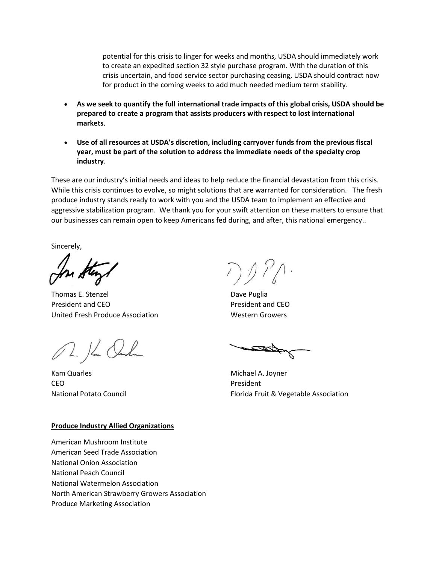potential for this crisis to linger for weeks and months, USDA should immediately work to create an expedited section 32 style purchase program. With the duration of this crisis uncertain, and food service sector purchasing ceasing, USDA should contract now for product in the coming weeks to add much needed medium term stability.

- **As we seek to quantify the full international trade impacts of this global crisis, USDA should be prepared to create a program that assists producers with respect to lost international markets**.
- **Use of all resources at USDA's discretion, including carryover funds from the previous fiscal year, must be part of the solution to address the immediate needs of the specialty crop industry**.

These are our industry's initial needs and ideas to help reduce the financial devastation from this crisis. While this crisis continues to evolve, so might solutions that are warranted for consideration. The fresh produce industry stands ready to work with you and the USDA team to implement an effective and aggressive stabilization program. We thank you for your swift attention on these matters to ensure that our businesses can remain open to keep Americans fed during, and after, this national emergency..

Sincerely,

Thomas E. Stenzel **Dave Puglia** President and CEO **President and CEO** United Fresh Produce Association Western Growers

02. 16 Onlin

Kam Quarles **Michael A. Joyner** Michael A. Joyner CEO President

National Potato Council **Florida Fruit & Vegetable Association** 

## **Produce Industry Allied Organizations**

American Mushroom Institute American Seed Trade Association National Onion Association National Peach Council National Watermelon Association North American Strawberry Growers Association Produce Marketing Association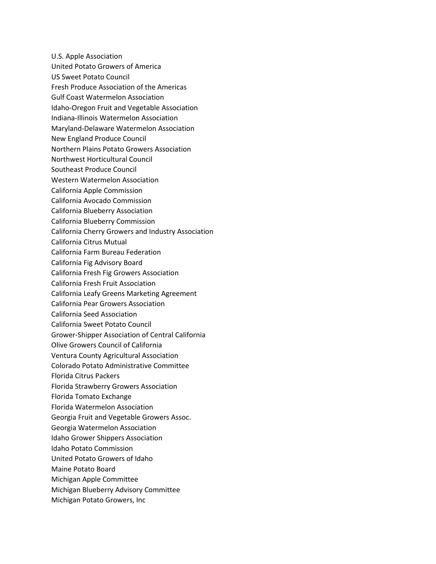U.S. Apple Association United Potato Growers of America US Sweet Potato Council Fresh Produce Association of the Americas Gulf Coast Watermelon Association Idaho-Oregon Fruit and Vegetable Association Indiana-Illinois Watermelon Association Maryland-Delaware Watermelon Association New England Produce Council Northern Plains Potato Growers Association Northwest Horticultural Council Southeast Produce Council Western Watermelon Association California Apple Commission California Avocado Commission California Blueberry Association California Blueberry Commission California Cherry Growers and Industry Association California Citrus Mutual California Farm Bureau Federation California Fig Advisory Board California Fresh Fig Growers Association California Fresh Fruit Association California Leafy Greens Marketing Agreement California Pear Growers Association California Seed Association California Sweet Potato Council Grower-Shipper Association of Central California Olive Growers Council of California Ventura County Agricultural Association Colorado Potato Administrative Committee Florida Citrus Packers Florida Strawberry Growers Association Florida Tomato Exchange Florida Watermelon Association Georgia Fruit and Vegetable Growers Assoc. Georgia Watermelon Association Idaho Grower Shippers Association Idaho Potato Commission United Potato Growers of Idaho Maine Potato Board Michigan Apple Committee Michigan Blueberry Advisory Committee Michigan Potato Growers, Inc